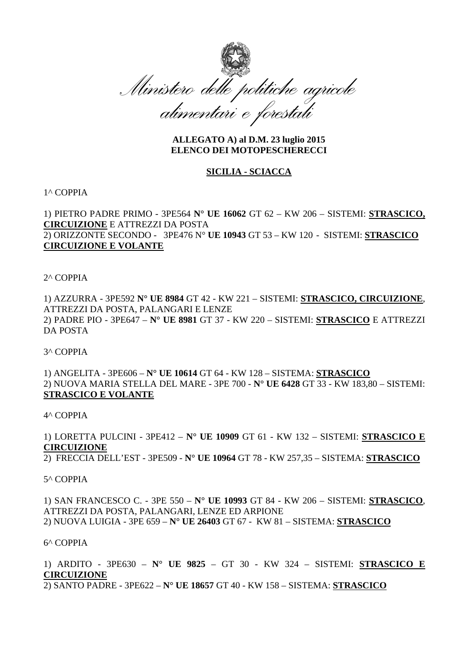

# **ALLEGATO A) al D.M. 23 luglio 2015 ELENCO DEI MOTOPESCHERECCI**

# **SICILIA - SCIACCA**

#### 1^ COPPIA

1) PIETRO PADRE PRIMO - 3PE564 **N° UE 16062** GT 62 – KW 206 – SISTEMI: **STRASCICO, CIRCUIZIONE** E ATTREZZI DA POSTA

2) ORIZZONTE SECONDO - 3PE476 N° **UE 10943** GT 53 – KW 120 - SISTEMI: **STRASCICO CIRCUIZIONE E VOLANTE** 

2^ COPPIA

1) AZZURRA - 3PE592 **N° UE 8984** GT 42 - KW 221 – SISTEMI: **STRASCICO, CIRCUIZIONE**, ATTREZZI DA POSTA, PALANGARI E LENZE 2) PADRE PIO - 3PE647 – **N° UE 8981** GT 37 - KW 220 – SISTEMI: **STRASCICO** E ATTREZZI DA POSTA

3^ COPPIA

1) ANGELITA - 3PE606 – **N° UE 10614** GT 64 - KW 128 – SISTEMA: **STRASCICO** 2) NUOVA MARIA STELLA DEL MARE - 3PE 700 - **N° UE 6428** GT 33 - KW 183,80 – SISTEMI: **STRASCICO E VOLANTE**

4^ COPPIA

1) LORETTA PULCINI - 3PE412 – **N° UE 10909** GT 61 - KW 132 – SISTEMI: **STRASCICO E CIRCUIZIONE**

2) FRECCIA DELL'EST - 3PE509 - **N° UE 10964** GT 78 - KW 257,35 – SISTEMA: **STRASCICO**

#### 5^ COPPIA

1) SAN FRANCESCO C. - 3PE 550 – **N° UE 10993** GT 84 - KW 206 – SISTEMI: **STRASCICO**, ATTREZZI DA POSTA, PALANGARI, LENZE ED ARPIONE 2) NUOVA LUIGIA - 3PE 659 – **N° UE 26403** GT 67 - KW 81 – SISTEMA: **STRASCICO**

# 6^ COPPIA

1) ARDITO - 3PE630 – **N° UE 9825** – GT 30 - KW 324 – SISTEMI: **STRASCICO E CIRCUIZIONE**

2) SANTO PADRE - 3PE622 – **N° UE 18657** GT 40 - KW 158 – SISTEMA: **STRASCICO**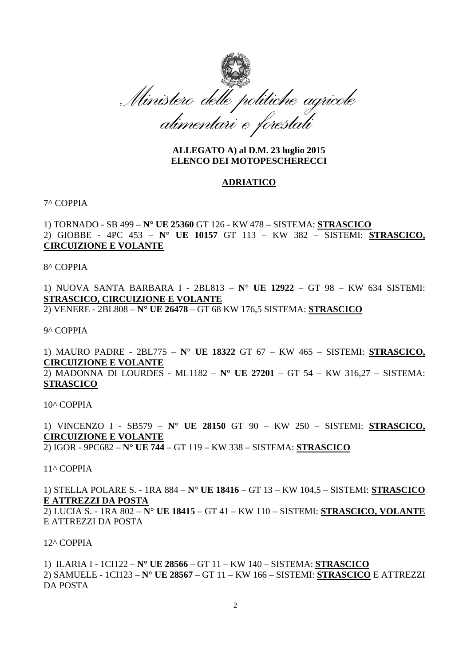

## **ALLEGATO A) al D.M. 23 luglio 2015 ELENCO DEI MOTOPESCHERECCI**

#### **ADRIATICO**

### 7^ COPPIA

1) TORNADO - SB 499 – **N° UE 25360** GT 126 - KW 478 – SISTEMA: **STRASCICO** 2) GIOBBE - 4PC 453 – **N° UE 10157** GT 113 – KW 382 – SISTEMI: **STRASCICO, CIRCUIZIONE E VOLANTE**

8^ COPPIA

1) NUOVA SANTA BARBARA I - 2BL813 – **N° UE 12922** – GT 98 – KW 634 SISTEMI: **STRASCICO, CIRCUIZIONE E VOLANTE**

2) VENERE - 2BL808 – **N° UE 26478** – GT 68 KW 176,5 SISTEMA: **STRASCICO**

9^ COPPIA

1) MAURO PADRE - 2BL775 – **N° UE 18322** GT 67 – KW 465 – SISTEMI: **STRASCICO, CIRCUIZIONE E VOLANTE** 2) MADONNA DI LOURDES - ML1182 – **N° UE 27201** – GT 54 – KW 316,27 – SISTEMA: **STRASCICO**

10^ COPPIA

1) VINCENZO I - SB579 – **N° UE 28150** GT 90 – KW 250 – SISTEMI: **STRASCICO, CIRCUIZIONE E VOLANTE**

2) IGOR - 9PC682 – **N° UE 744** – GT 119 – KW 338 – SISTEMA: **STRASCICO**

11^ COPPIA

1) STELLA POLARE S. - 1RA 884 – **N° UE 18416** – GT 13 – KW 104,5 – SISTEMI: **STRASCICO E ATTREZZI DA POSTA**

2) LUCIA S. - 1RA 802 – **N° UE 18415** – GT 41 – KW 110 – SISTEMI: **STRASCICO, VOLANTE** E ATTREZZI DA POSTA

12^ COPPIA

1) ILARIA I - 1CI122 – **N° UE 28566** – GT 11 – KW 140 – SISTEMA: **STRASCICO** 2) SAMUELE - 1CI123 – **N° UE 28567** – GT 11 – KW 166 – SISTEMI: **STRASCICO** E ATTREZZI DA POSTA